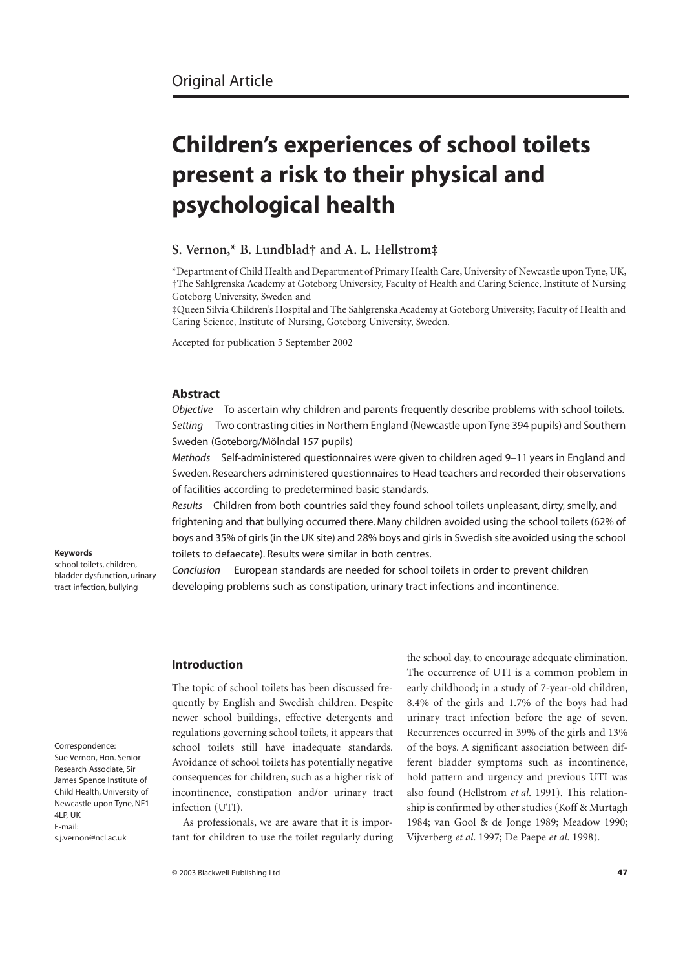# **Children's experiences of school toilets present a risk to their physical and psychological health**

# **S. Vernon,\* B. Lundblad† and A. L. Hellstrom‡**

\*Department of Child Health and Department of Primary Health Care, University of Newcastle upon Tyne, UK, †The Sahlgrenska Academy at Goteborg University, Faculty of Health and Caring Science, Institute of Nursing Goteborg University, Sweden and

‡Queen Silvia Children's Hospital and The Sahlgrenska Academy at Goteborg University, Faculty of Health and Caring Science, Institute of Nursing, Goteborg University, Sweden.

Accepted for publication 5 September 2002

## **Abstract**

*Objective* To ascertain why children and parents frequently describe problems with school toilets. *Setting* Two contrasting cities in Northern England (Newcastle upon Tyne 394 pupils) and Southern Sweden (Goteborg/Mölndal 157 pupils)

*Methods* Self-administered questionnaires were given to children aged 9–11 years in England and Sweden. Researchers administered questionnaires to Head teachers and recorded their observations of facilities according to predetermined basic standards*.*

*Results* Children from both countries said they found school toilets unpleasant, dirty, smelly, and frightening and that bullying occurred there. Many children avoided using the school toilets (62% of boys and 35% of girls (in the UK site) and 28% boys and girls in Swedish site avoided using the school toilets to defaecate). Results were similar in both centres.

**Keywords** school toilets, children, bladder dysfunction, urinary tract infection, bullying

*Conclusion* European standards are needed for school toilets in order to prevent children developing problems such as constipation, urinary tract infections and incontinence.

# **Introduction**

The topic of school toilets has been discussed frequently by English and Swedish children. Despite newer school buildings, effective detergents and regulations governing school toilets, it appears that school toilets still have inadequate standards. Avoidance of school toilets has potentially negative consequences for children, such as a higher risk of incontinence, constipation and/or urinary tract infection (UTI).

As professionals, we are aware that it is important for children to use the toilet regularly during the school day, to encourage adequate elimination. The occurrence of UTI is a common problem in early childhood; in a study of 7-year-old children, 8.4% of the girls and 1.7% of the boys had had urinary tract infection before the age of seven. Recurrences occurred in 39% of the girls and 13% of the boys. A significant association between different bladder symptoms such as incontinence, hold pattern and urgency and previous UTI was also found (Hellstrom *et al*. 1991). This relationship is confirmed by other studies (Koff & Murtagh 1984; van Gool & de Jonge 1989; Meadow 1990; Vijverberg *et al*. 1997; De Paepe *et al*. 1998).

Correspondence: Sue Vernon, Hon. Senior Research Associate, Sir James Spence Institute of Child Health, University of Newcastle upon Tyne, NE1 4LP, UK E-mail: s.j.vernon@ncl.ac.uk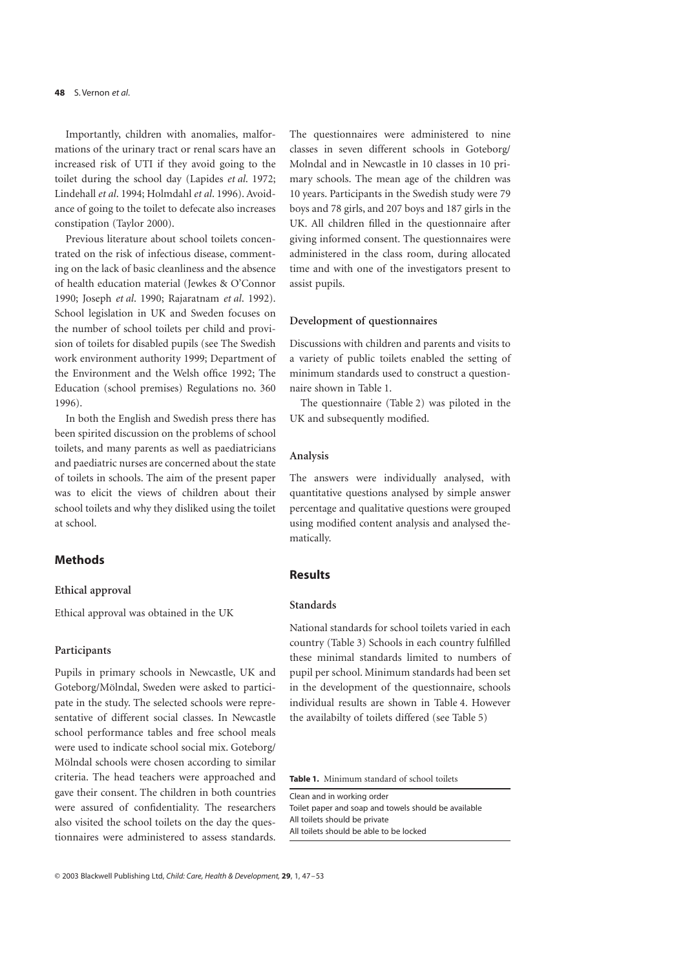Importantly, children with anomalies, malformations of the urinary tract or renal scars have an increased risk of UTI if they avoid going to the toilet during the school day (Lapides *et al*. 1972; Lindehall *et al*. 1994; Holmdahl *et al*. 1996). Avoidance of going to the toilet to defecate also increases constipation (Taylor 2000).

Previous literature about school toilets concentrated on the risk of infectious disease, commenting on the lack of basic cleanliness and the absence of health education material (Jewkes & O'Connor 1990; Joseph *et al*. 1990; Rajaratnam *et al*. 1992). School legislation in UK and Sweden focuses on the number of school toilets per child and provision of toilets for disabled pupils (see The Swedish work environment authority 1999; Department of the Environment and the Welsh office 1992; The Education (school premises) Regulations no. 360 1996).

In both the English and Swedish press there has been spirited discussion on the problems of school toilets, and many parents as well as paediatricians and paediatric nurses are concerned about the state of toilets in schools. The aim of the present paper was to elicit the views of children about their school toilets and why they disliked using the toilet at school.

# **Methods**

## **Ethical approval**

Ethical approval was obtained in the UK

### **Participants**

Pupils in primary schools in Newcastle, UK and Goteborg/Mölndal, Sweden were asked to participate in the study. The selected schools were representative of different social classes. In Newcastle school performance tables and free school meals were used to indicate school social mix. Goteborg/ Mölndal schools were chosen according to similar criteria. The head teachers were approached and gave their consent. The children in both countries were assured of confidentiality. The researchers also visited the school toilets on the day the questionnaires were administered to assess standards.

The questionnaires were administered to nine classes in seven different schools in Goteborg/ Molndal and in Newcastle in 10 classes in 10 primary schools. The mean age of the children was 10 years. Participants in the Swedish study were 79 boys and 78 girls, and 207 boys and 187 girls in the UK. All children filled in the questionnaire after giving informed consent. The questionnaires were administered in the class room, during allocated time and with one of the investigators present to assist pupils.

## **Development of questionnaires**

Discussions with children and parents and visits to a variety of public toilets enabled the setting of minimum standards used to construct a questionnaire shown in Table 1.

The questionnaire (Table 2) was piloted in the UK and subsequently modified.

# **Analysis**

The answers were individually analysed, with quantitative questions analysed by simple answer percentage and qualitative questions were grouped using modified content analysis and analysed thematically.

## **Results**

# **Standards**

National standards for school toilets varied in each country (Table 3) Schools in each country fulfilled these minimal standards limited to numbers of pupil per school. Minimum standards had been set in the development of the questionnaire, schools individual results are shown in Table 4. However the availabilty of toilets differed (see Table 5)

**Table 1.** Minimum standard of school toilets

Clean and in working order Toilet paper and soap and towels should be available All toilets should be private All toilets should be able to be locked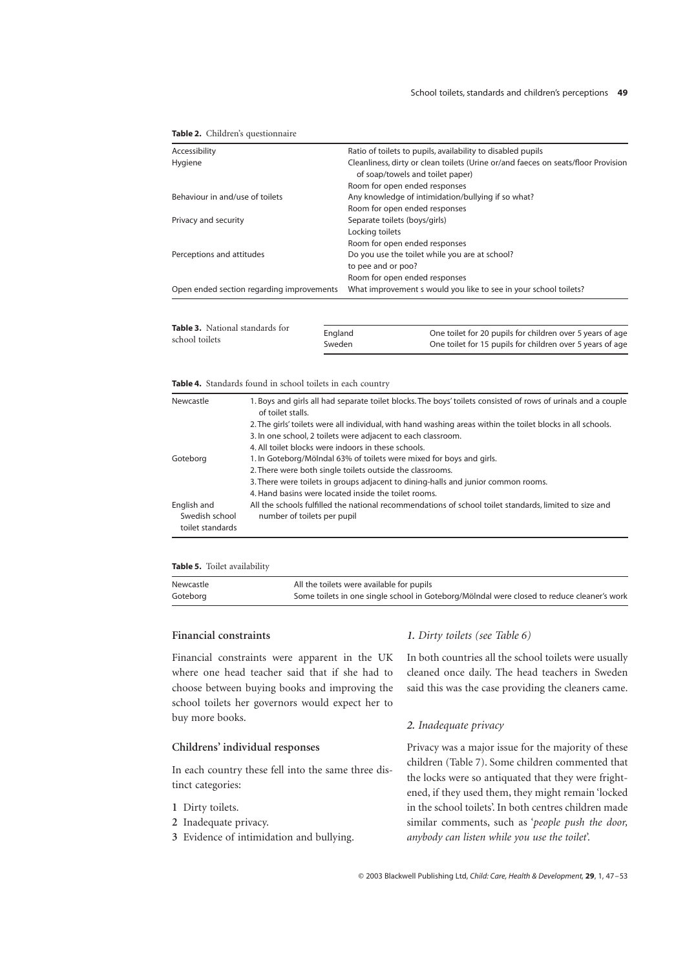| Accessibility                             | Ratio of toilets to pupils, availability to disabled pupils                                                           |
|-------------------------------------------|-----------------------------------------------------------------------------------------------------------------------|
| Hygiene                                   | Cleanliness, dirty or clean toilets (Urine or/and faeces on seats/floor Provision<br>of soap/towels and toilet paper) |
|                                           | Room for open ended responses                                                                                         |
| Behaviour in and/use of toilets           | Any knowledge of intimidation/bullying if so what?                                                                    |
|                                           | Room for open ended responses                                                                                         |
| Privacy and security                      | Separate toilets (boys/girls)                                                                                         |
|                                           | Locking toilets                                                                                                       |
|                                           | Room for open ended responses                                                                                         |
| Perceptions and attitudes                 | Do you use the toilet while you are at school?                                                                        |
|                                           | to pee and or poo?                                                                                                    |
|                                           | Room for open ended responses                                                                                         |
| Open ended section regarding improvements | What improvement s would you like to see in your school toilets?                                                      |

|  |  | Table 2. Children's questionnaire |  |
|--|--|-----------------------------------|--|
|--|--|-----------------------------------|--|

| <b>Table 3.</b> National standards for | England | One toilet for 20 pupils for children over 5 years of age |
|----------------------------------------|---------|-----------------------------------------------------------|
| school toilets                         | Sweden  | One toilet for 15 pupils for children over 5 years of age |

#### **Table 4.** Standards found in school toilets in each country

| Newcastle                                         | 1. Boys and girls all had separate toilet blocks. The boys' toilets consisted of rows of urinals and a couple<br>of toilet stalls.    |
|---------------------------------------------------|---------------------------------------------------------------------------------------------------------------------------------------|
|                                                   | 2. The girls' toilets were all individual, with hand washing areas within the toilet blocks in all schools.                           |
|                                                   | 3. In one school, 2 toilets were adjacent to each classroom.                                                                          |
|                                                   | 4. All toilet blocks were indoors in these schools.                                                                                   |
| Goteborg                                          | 1. In Goteborg/Mölndal 63% of toilets were mixed for boys and girls.                                                                  |
|                                                   | 2. There were both single toilets outside the classrooms.                                                                             |
|                                                   | 3. There were toilets in groups adjacent to dining-halls and junior common rooms.                                                     |
|                                                   | 4. Hand basins were located inside the toilet rooms.                                                                                  |
| English and<br>Swedish school<br>toilet standards | All the schools fulfilled the national recommendations of school toilet standards, limited to size and<br>number of toilets per pupil |

## **Table 5.** Toilet availability

| Newcastle | All the toilets were available for pupils                                                  |
|-----------|--------------------------------------------------------------------------------------------|
| Goteborg  | Some toilets in one single school in Goteborg/Mölndal were closed to reduce cleaner's work |

# **Financial constraints**

Financial constraints were apparent in the UK where one head teacher said that if she had to choose between buying books and improving the school toilets her governors would expect her to buy more books.

## **Childrens' individual responses**

In each country these fell into the same three distinct categories:

- **1** Dirty toilets.
- **2** Inadequate privacy.
- **3** Evidence of intimidation and bullying.

## *1. Dirty toilets (see Table 6)*

In both countries all the school toilets were usually cleaned once daily. The head teachers in Sweden said this was the case providing the cleaners came.

## *2. Inadequate privacy*

Privacy was a major issue for the majority of these children (Table 7). Some children commented that the locks were so antiquated that they were frightened, if they used them, they might remain 'locked in the school toilets'. In both centres children made similar comments, such as '*people push the door, anybody can listen while you use the toilet*'.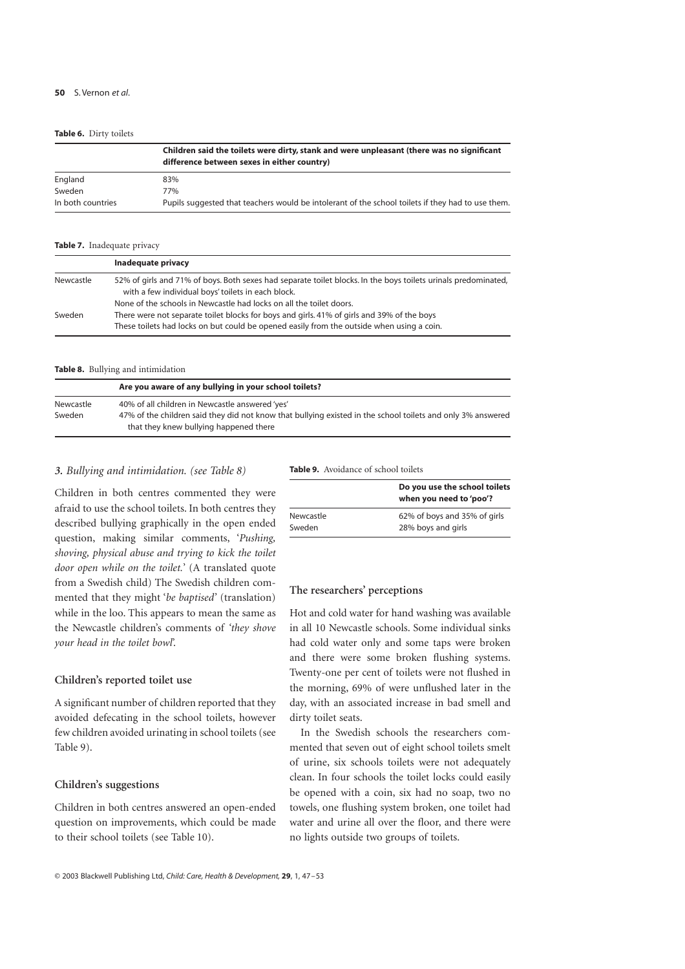#### **Table 6.** Dirty toilets

|                   | Children said the toilets were dirty, stank and were unpleasant (there was no significant<br>difference between sexes in either country) |
|-------------------|------------------------------------------------------------------------------------------------------------------------------------------|
| England           | 83%                                                                                                                                      |
| Sweden            | 77%                                                                                                                                      |
| In both countries | Pupils suggested that teachers would be intolerant of the school toilets if they had to use them.                                        |

#### **Table 7.** Inadequate privacy

|           | Inadequate privacy                                                                                             |
|-----------|----------------------------------------------------------------------------------------------------------------|
| Newcastle | 52% of girls and 71% of boys. Both sexes had separate toilet blocks. In the boys toilets urinals predominated, |
|           | with a few individual boys' toilets in each block.                                                             |
|           | None of the schools in Newcastle had locks on all the toilet doors.                                            |
| Sweden    | There were not separate toilet blocks for boys and girls. 41% of girls and 39% of the boys                     |
|           | These toilets had locks on but could be opened easily from the outside when using a coin.                      |

#### **Table 8.** Bullying and intimidation

|           | Are you aware of any bullying in your school toilets?                                                                                                 |
|-----------|-------------------------------------------------------------------------------------------------------------------------------------------------------|
| Newcastle | 40% of all children in Newcastle answered 'yes'                                                                                                       |
| Sweden    | 47% of the children said they did not know that bullying existed in the school toilets and only 3% answered<br>that they knew bullying happened there |

## *3. Bullying and intimidation. (see Table 8)*

Children in both centres commented they were afraid to use the school toilets. In both centres they described bullying graphically in the open ended question, making similar comments, '*Pushing, shoving, physical abuse and trying to kick the toilet door open while on the toilet.*' (A translated quote from a Swedish child) The Swedish children commented that they might '*be baptised'* (translation) while in the loo. This appears to mean the same as the Newcastle children's comments of *'they shove your head in the toilet bowl*'.

## **Children's reported toilet use**

A significant number of children reported that they avoided defecating in the school toilets, however few children avoided urinating in school toilets (see Table 9).

## **Children's suggestions**

Children in both centres answered an open-ended question on improvements, which could be made to their school toilets (see Table 10).

**Table 9.** Avoidance of school toilets

|           | Do you use the school toilets<br>when you need to 'poo'? |
|-----------|----------------------------------------------------------|
| Newcastle | 62% of boys and 35% of girls                             |
| Sweden    | 28% boys and girls                                       |

## **The researchers' perceptions**

Hot and cold water for hand washing was available in all 10 Newcastle schools. Some individual sinks had cold water only and some taps were broken and there were some broken flushing systems. Twenty-one per cent of toilets were not flushed in the morning, 69% of were unflushed later in the day, with an associated increase in bad smell and dirty toilet seats.

In the Swedish schools the researchers commented that seven out of eight school toilets smelt of urine, six schools toilets were not adequately clean. In four schools the toilet locks could easily be opened with a coin, six had no soap, two no towels, one flushing system broken, one toilet had water and urine all over the floor, and there were no lights outside two groups of toilets.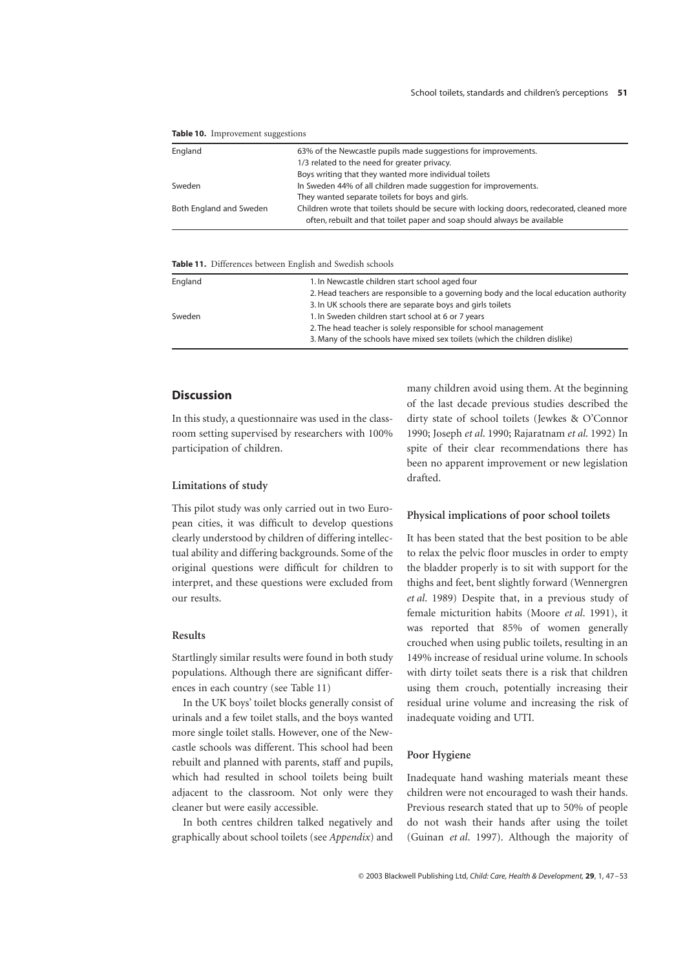| England                 | 63% of the Newcastle pupils made suggestions for improvements.                                                                                                         |
|-------------------------|------------------------------------------------------------------------------------------------------------------------------------------------------------------------|
|                         | 1/3 related to the need for greater privacy.                                                                                                                           |
|                         | Boys writing that they wanted more individual toilets                                                                                                                  |
| Sweden                  | In Sweden 44% of all children made suggestion for improvements.                                                                                                        |
|                         | They wanted separate toilets for boys and girls.                                                                                                                       |
| Both England and Sweden | Children wrote that toilets should be secure with locking doors, redecorated, cleaned more<br>often, rebuilt and that toilet paper and soap should always be available |

**Table 10.** Improvement suggestions

**Table 11.** Differences between English and Swedish schools

| England | 1. In Newcastle children start school aged four                                        |
|---------|----------------------------------------------------------------------------------------|
|         | 2. Head teachers are responsible to a governing body and the local education authority |
|         | 3. In UK schools there are separate boys and girls toilets                             |
| Sweden  | 1. In Sweden children start school at 6 or 7 years                                     |
|         | 2. The head teacher is solely responsible for school management                        |
|         | 3. Many of the schools have mixed sex toilets (which the children dislike)             |

# **Discussion**

In this study, a questionnaire was used in the classroom setting supervised by researchers with 100% participation of children.

## **Limitations of study**

This pilot study was only carried out in two European cities, it was difficult to develop questions clearly understood by children of differing intellectual ability and differing backgrounds. Some of the original questions were difficult for children to interpret, and these questions were excluded from our results.

## **Results**

Startlingly similar results were found in both study populations. Although there are significant differences in each country (see Table 11)

In the UK boys' toilet blocks generally consist of urinals and a few toilet stalls, and the boys wanted more single toilet stalls. However, one of the Newcastle schools was different. This school had been rebuilt and planned with parents, staff and pupils, which had resulted in school toilets being built adjacent to the classroom. Not only were they cleaner but were easily accessible.

In both centres children talked negatively and graphically about school toilets (see *Appendix*) and many children avoid using them. At the beginning of the last decade previous studies described the dirty state of school toilets (Jewkes & O'Connor 1990; Joseph *et al*. 1990; Rajaratnam *et al*. 1992) In spite of their clear recommendations there has been no apparent improvement or new legislation drafted.

## **Physical implications of poor school toilets**

It has been stated that the best position to be able to relax the pelvic floor muscles in order to empty the bladder properly is to sit with support for the thighs and feet, bent slightly forward (Wennergren *et al*. 1989) Despite that, in a previous study of female micturition habits (Moore *et al*. 1991), it was reported that 85% of women generally crouched when using public toilets, resulting in an 149% increase of residual urine volume. In schools with dirty toilet seats there is a risk that children using them crouch, potentially increasing their residual urine volume and increasing the risk of inadequate voiding and UTI.

# **Poor Hygiene**

Inadequate hand washing materials meant these children were not encouraged to wash their hands. Previous research stated that up to 50% of people do not wash their hands after using the toilet (Guinan *et al*. 1997). Although the majority of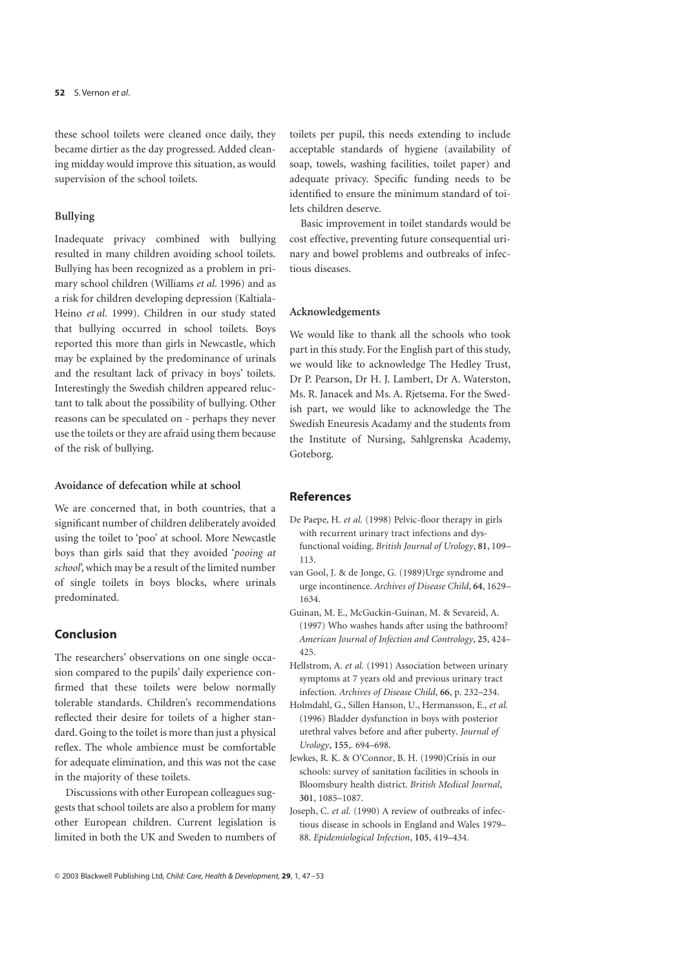these school toilets were cleaned once daily, they became dirtier as the day progressed. Added cleaning midday would improve this situation, as would supervision of the school toilets.

# **Bullying**

Inadequate privacy combined with bullying resulted in many children avoiding school toilets. Bullying has been recognized as a problem in primary school children (Williams *et al*. 1996) and as a risk for children developing depression (Kaltiala-Heino *et al*. 1999). Children in our study stated that bullying occurred in school toilets. Boys reported this more than girls in Newcastle, which may be explained by the predominance of urinals and the resultant lack of privacy in boys' toilets. Interestingly the Swedish children appeared reluctant to talk about the possibility of bullying. Other reasons can be speculated on - perhaps they never use the toilets or they are afraid using them because of the risk of bullying.

# **Avoidance of defecation while at school**

We are concerned that, in both countries, that a significant number of children deliberately avoided using the toilet to 'poo' at school. More Newcastle boys than girls said that they avoided '*pooing at school*',which may be a result of the limited number of single toilets in boys blocks, where urinals predominated.

# **Conclusion**

The researchers' observations on one single occasion compared to the pupils' daily experience confirmed that these toilets were below normally tolerable standards. Children's recommendations reflected their desire for toilets of a higher standard. Going to the toilet is more than just a physical reflex. The whole ambience must be comfortable for adequate elimination, and this was not the case in the majority of these toilets.

Discussions with other European colleagues suggests that school toilets are also a problem for many other European children. Current legislation is limited in both the UK and Sweden to numbers of

toilets per pupil, this needs extending to include acceptable standards of hygiene (availability of soap, towels, washing facilities, toilet paper) and adequate privacy. Specific funding needs to be identified to ensure the minimum standard of toilets children deserve.

Basic improvement in toilet standards would be cost effective, preventing future consequential urinary and bowel problems and outbreaks of infectious diseases.

## **Acknowledgements**

We would like to thank all the schools who took part in this study. For the English part of this study, we would like to acknowledge The Hedley Trust, Dr P. Pearson, Dr H. J. Lambert, Dr A. Waterston, Ms. R. Janacek and Ms. A. Rjetsema. For the Swedish part, we would like to acknowledge the The Swedish Eneuresis Acadamy and the students from the Institute of Nursing, Sahlgrenska Academy, Goteborg.

## **References**

- De Paepe, H. *et al.* (1998) Pelvic-floor therapy in girls with recurrent urinary tract infections and dysfunctional voiding. *British Journal of Urology*, **81**, 109– 113.
- van Gool, J. & de Jonge, G. (1989)Urge syndrome and urge incontinence. *Archives of Disease Child*, **64**, 1629– 1634.
- Guinan, M. E., McGuckin-Guinan, M. & Sevareid, A. (1997) Who washes hands after using the bathroom? *American Journal of Infection and Contrology*, **25**, 424– 425.
- Hellstrom, A. *et al.* (1991) Association between urinary symptoms at 7 years old and previous urinary tract infection. *Archives of Disease Child*, **66**, p. 232–234.
- Holmdahl, G., Sillen Hanson, U., Hermansson, E., *et al.* (1996) Bladder dysfunction in boys with posterior urethral valves before and after puberty. *Journal of Urology*, **155**,. 694–698.
- Jewkes, R. K. & O'Connor, B. H. (1990)Crisis in our schools: survey of sanitation facilities in schools in Bloomsbury health district. *British Medical Journal*, **301**, 1085–1087.
- Joseph, C. *et al.* (1990) A review of outbreaks of infectious disease in schools in England and Wales 1979– 88. *Epidemiological Infection*, **105**, 419–434.